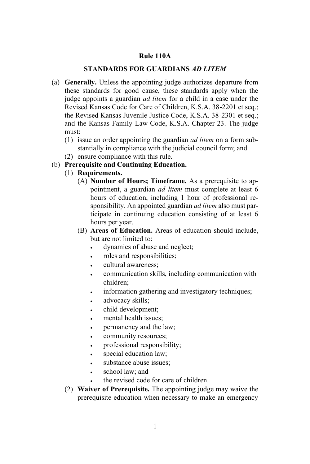## **Rule 110A**

## **STANDARDS FOR GUARDIANS** *AD LITEM*

- (a) **Generally.** Unless the appointing judge authorizes departure from these standards for good cause, these standards apply when the judge appoints a guardian *ad litem* for a child in a case under the Revised Kansas Code for Care of Children, K.S.A. 38-2201 et seq.; the Revised Kansas Juvenile Justice Code, K.S.A. 38-2301 et seq.; and the Kansas Family Law Code, K.S.A. Chapter 23. The judge must:
	- (1) issue an order appointing the guardian *ad litem* on a form substantially in compliance with the judicial council form; and
	- (2) ensure compliance with this rule.
- (b) **Prerequisite and Continuing Education.**
	- (1) **Requirements.**
		- (A) **Number of Hours; Timeframe.** As a prerequisite to appointment, a guardian *ad litem* must complete at least 6 hours of education, including 1 hour of professional responsibility. An appointed guardian *ad litem* also must participate in continuing education consisting of at least 6 hours per year.
		- (B) **Areas of Education.** Areas of education should include, but are not limited to:
			- dynamics of abuse and neglect;
			- roles and responsibilities;
			- cultural awareness;
			- communication skills, including communication with children;
			- information gathering and investigatory techniques;
			- advocacy skills;
			- child development;
			- mental health issues;
			- permanency and the law;
			- community resources;
			- professional responsibility;
			- special education law:
			- substance abuse issues:
			- school law: and
			- the revised code for care of children.
	- (2) **Waiver of Prerequisite.** The appointing judge may waive the prerequisite education when necessary to make an emergency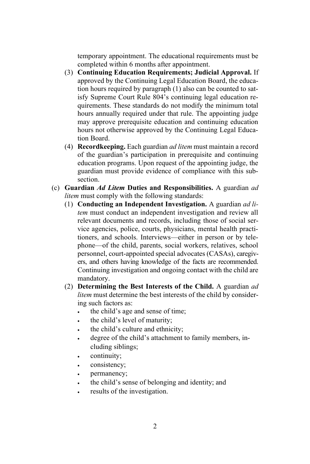temporary appointment. The educational requirements must be completed within 6 months after appointment.

- (3) **Continuing Education Requirements; Judicial Approval.** If approved by the Continuing Legal Education Board, the education hours required by paragraph (1) also can be counted to satisfy Supreme Court Rule 804's continuing legal education requirements. These standards do not modify the minimum total hours annually required under that rule. The appointing judge may approve prerequisite education and continuing education hours not otherwise approved by the Continuing Legal Education Board.
- (4) **Recordkeeping.** Each guardian *ad litem* must maintain a record of the guardian's participation in prerequisite and continuing education programs. Upon request of the appointing judge, the guardian must provide evidence of compliance with this subsection.
- (c) **Guardian** *Ad Litem* **Duties and Responsibilities.** A guardian *ad litem* must comply with the following standards:
	- (1) **Conducting an Independent Investigation.** A guardian *ad litem* must conduct an independent investigation and review all relevant documents and records, including those of social service agencies, police, courts, physicians, mental health practitioners, and schools. Interviews—either in person or by telephone—of the child, parents, social workers, relatives, school personnel, court-appointed special advocates (CASAs), caregivers, and others having knowledge of the facts are recommended. Continuing investigation and ongoing contact with the child are mandatory.
	- (2) **Determining the Best Interests of the Child.** A guardian *ad litem* must determine the best interests of the child by considering such factors as:
		- the child's age and sense of time;
		- the child's level of maturity;
		- the child's culture and ethnicity;
		- degree of the child's attachment to family members, including siblings;
		- continuity;
		- consistency;
		- permanency;
		- the child's sense of belonging and identity; and
		- results of the investigation.